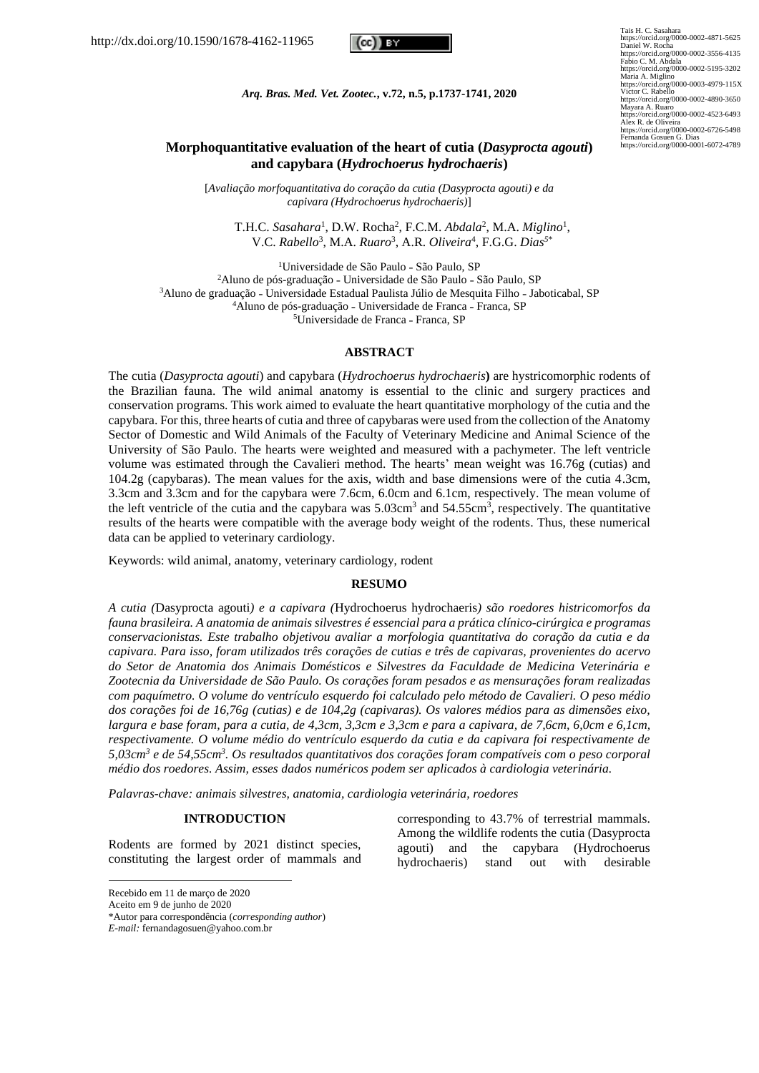

Tais H. C. Sasahara https://orcid.org/0000-0002-4871-5625 Daniel W. Rocha https://orcid.org/0000-0002-3556-4135 Fabio C. M. Abdala https://orcid.org/0000-0002-5195-3202 Maria A. Miglino https://orcid.org/0000-0003-4979-115X Victor C. Rabello https://orcid.org/0000-0002-4890-3650 Mayara A. Ruaro https://orcid.org/0000-0002-4523-6493 Alex R. de Oliveira https://orcid.org/0000-0002-6726-5498 Fernanda Gosuen G. Dias https://orcid.org/0000-0001-6072-4789

*Arq. Bras. Med. Vet. Zootec.***, v.72, n.5, p.1737-1741, 2020**

## **Morphoquantitative evaluation of the heart of cutia (***Dasyprocta agouti***) and capybara (***Hydrochoerus hydrochaeris***)**

[*Avaliação morfoquantitativa do coração da cutia (Dasyprocta agouti) e da capivara (Hydrochoerus hydrochaeris)*]

T.H.C. *Sasahara*<sup>1</sup>, D.W. Rocha<sup>2</sup>, F.C.M. *Abdala*<sup>2</sup>, M.A. *Miglino*<sup>1</sup>, V.C. *Rabello*<sup>3</sup> , M.A. *Ruaro*<sup>3</sup> , A.R. *Oliveira*<sup>4</sup> , F.G.G. *Dias<sup>5</sup>*\*

<sup>1</sup>Universidade de São Paulo - São Paulo, SP

<sup>2</sup>Aluno de pós-graduação - Universidade de São Paulo - São Paulo, SP

<sup>3</sup>Aluno de graduação - Universidade Estadual Paulista Júlio de Mesquita Filho - Jaboticabal, SP

<sup>4</sup>Aluno de pós-graduação - Universidade de Franca - Franca, SP

<sup>5</sup>Universidade de Franca - Franca, SP

### **ABSTRACT**

The cutia (*Dasyprocta agouti*) and capybara (*Hydrochoerus hydrochaeris***)** are hystricomorphic rodents of the Brazilian fauna. The wild animal anatomy is essential to the clinic and surgery practices and conservation programs. This work aimed to evaluate the heart quantitative morphology of the cutia and the capybara. For this, three hearts of cutia and three of capybaras were used from the collection of the Anatomy Sector of Domestic and Wild Animals of the Faculty of Veterinary Medicine and Animal Science of the University of São Paulo. The hearts were weighted and measured with a pachymeter. The left ventricle volume was estimated through the Cavalieri method. The hearts' mean weight was 16.76g (cutias) and 104.2g (capybaras). The mean values for the axis, width and base dimensions were of the cutia 4.3cm, 3.3cm and 3.3cm and for the capybara were 7.6cm, 6.0cm and 6.1cm, respectively. The mean volume of the left ventricle of the cutia and the capybara was  $5.03 \text{cm}^3$  and  $54.55 \text{cm}^3$ , respectively. The quantitative results of the hearts were compatible with the average body weight of the rodents. Thus, these numerical data can be applied to veterinary cardiology.

Keywords: wild animal, anatomy, veterinary cardiology, rodent

## **RESUMO**

*A cutia (*Dasyprocta agouti*) e a capivara (*Hydrochoerus hydrochaeris*) são roedores histricomorfos da fauna brasileira. A anatomia de animais silvestres é essencial para a prática clínico-cirúrgica e programas conservacionistas. Este trabalho objetivou avaliar a morfologia quantitativa do coração da cutia e da capivara. Para isso, foram utilizados três corações de cutias e três de capivaras, provenientes do acervo do Setor de Anatomia dos Animais Domésticos e Silvestres da Faculdade de Medicina Veterinária e Zootecnia da Universidade de São Paulo. Os corações foram pesados e as mensurações foram realizadas com paquímetro. O volume do ventrículo esquerdo foi calculado pelo método de Cavalieri. O peso médio dos corações foi de 16,76g (cutias) e de 104,2g (capivaras). Os valores médios para as dimensões eixo, largura e base foram, para a cutia, de 4,3cm, 3,3cm e 3,3cm e para a capivara, de 7,6cm, 6,0cm e 6,1cm, respectivamente. O volume médio do ventrículo esquerdo da cutia e da capivara foi respectivamente de 5,03cm<sup>3</sup> e de 54,55cm<sup>3</sup> . Os resultados quantitativos dos corações foram compatíveis com o peso corporal médio dos roedores. Assim, esses dados numéricos podem ser aplicados à cardiologia veterinária.*

*Palavras-chave: animais silvestres, anatomia, cardiologia veterinária, roedores*

## **INTRODUCTION**

Rodents are formed by 2021 distinct species, constituting the largest order of mammals and

Recebido em 11 de março de 2020

\*Autor para correspondência (*corresponding author*)

*E-mail:* fernandagosuen@yahoo.com.br

corresponding to 43.7% of terrestrial mammals. Among the wildlife rodents the cutia (Dasyprocta agouti) and the capybara (Hydrochoerus hydrochaeris) stand out with desirable

Aceito em 9 de junho de 2020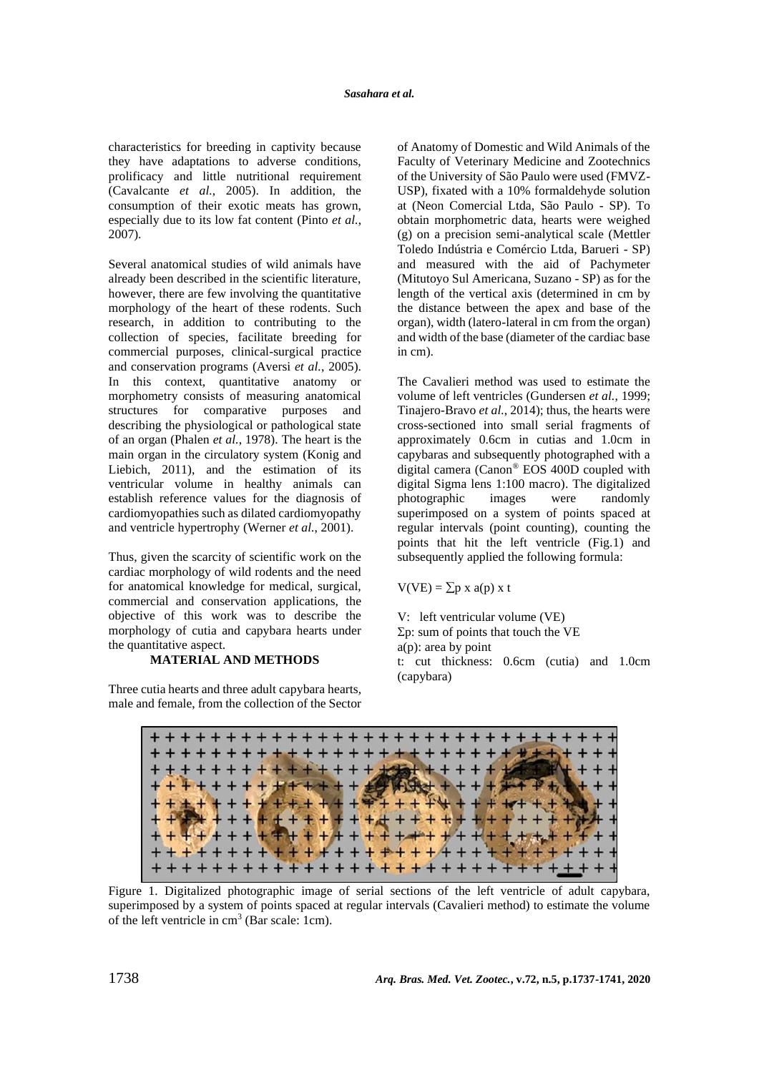characteristics for breeding in captivity because they have adaptations to adverse conditions, prolificacy and little nutritional requirement (Cavalcante *et al.*, 2005). In addition, the consumption of their exotic meats has grown, especially due to its low fat content (Pinto *et al.*,  $2007$ ).

Several anatomical studies of wild animals have already been described in the scientific literature, however, there are few involving the quantitative morphology of the heart of these rodents. Such research, in addition to contributing to the collection of species, facilitate breeding for commercial purposes, clinical-surgical practice and conservation programs (Aversi *et al.*, 2005). In this context, quantitative anatomy or morphometry consists of measuring anatomical structures for comparative purposes and describing the physiological or pathological state of an organ (Phalen *et al.*, 1978). The heart is the main organ in the circulatory system (Konig and Liebich, 2011), and the estimation of its ventricular volume in healthy animals can establish reference values for the diagnosis of cardiomyopathies such as dilated cardiomyopathy and ventricle hypertrophy (Werner *et al.*, 2001).

Thus, given the scarcity of scientific work on the cardiac morphology of wild rodents and the need for anatomical knowledge for medical, surgical, commercial and conservation applications, the objective of this work was to describe the morphology of cutia and capybara hearts under the quantitative aspect.

## **MATERIAL AND METHODS**

Three cutia hearts and three adult capybara hearts, male and female, from the collection of the Sector of Anatomy of Domestic and Wild Animals of the Faculty of Veterinary Medicine and Zootechnics of the University of São Paulo were used (FMVZ-USP), fixated with a 10% formaldehyde solution at (Neon Comercial Ltda, São Paulo - SP). To obtain morphometric data, hearts were weighed (g) on a precision semi-analytical scale (Mettler Toledo Indústria e Comércio Ltda, Barueri - SP) and measured with the aid of Pachymeter (Mitutoyo Sul Americana, Suzano - SP) as for the length of the vertical axis (determined in cm by the distance between the apex and base of the organ), width (latero-lateral in cm from the organ) and width of the base (diameter of the cardiac base in cm).

The Cavalieri method was used to estimate the volume of left ventricles (Gundersen *et al.*, 1999; Tinajero-Bravo *et al.*, 2014); thus, the hearts were cross-sectioned into small serial fragments of approximately 0.6cm in cutias and 1.0cm in capybaras and subsequently photographed with a digital camera (Canon® EOS 400D coupled with digital Sigma lens 1:100 macro). The digitalized photographic images were randomly superimposed on a system of points spaced at regular intervals (point counting), counting the points that hit the left ventricle (Fig.1) and subsequently applied the following formula:

 $V(VE) = \sum p x a(p) x t$ 

V: left ventricular volume (VE)  $\Sigma$ p: sum of points that touch the VE a(p): area by point t: cut thickness: 0.6cm (cutia) and 1.0cm (capybara)



Figure 1. Digitalized photographic image of serial sections of the left ventricle of adult capybara, superimposed by a system of points spaced at regular intervals (Cavalieri method) to estimate the volume of the left ventricle in cm<sup>3</sup> (Bar scale: 1cm).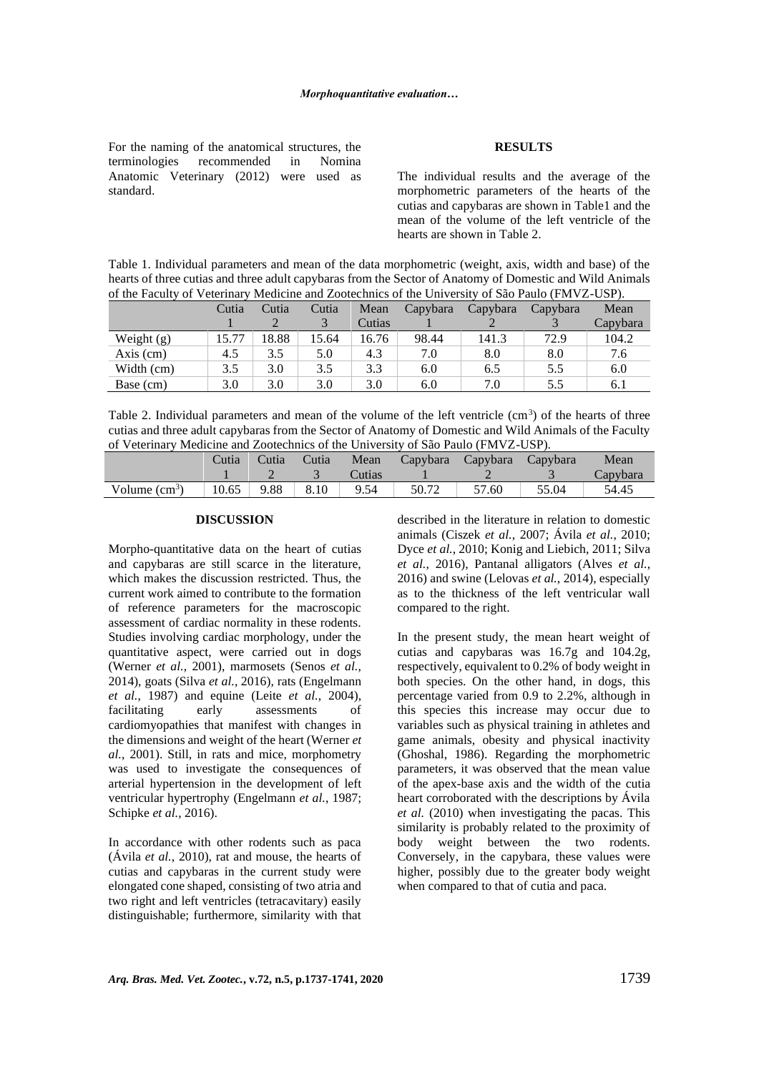For the naming of the anatomical structures, the terminologies recommended in Nomina Anatomic Veterinary (2012) were used as standard.

# **RESULTS**

The individual results and the average of the morphometric parameters of the hearts of the cutias and capybaras are shown in Table1 and the mean of the volume of the left ventricle of the hearts are shown in Table 2.

Table 1. Individual parameters and mean of the data morphometric (weight, axis, width and base) of the hearts of three cutias and three adult capybaras from the Sector of Anatomy of Domestic and Wild Animals of the Faculty of Veterinary Medicine and Zootechnics of the University of São Paulo (FMVZ-USP).

|              | Cutia | Cutia | Cutia | Mean   | Capybara | Capybara | Capybara | Mean     |
|--------------|-------|-------|-------|--------|----------|----------|----------|----------|
|              |       |       |       | Cutias |          |          |          | Capybara |
| Weight $(g)$ | 15.77 | 18.88 | 15.64 | 16.76  | 98.44    | 141.3    | 72.9     | 104.2    |
| Axis $(cm)$  | 4.5   | 3.5   | 5.0   | 4.3    | 7.0      | 8.0      | 8.0      | 7.6      |
| Width (cm)   | 3.5   | 3.0   | 3.5   | 3.3    | 6.0      | 6.5      | 5.5      | 6.0      |
| Base (cm)    | 3.0   | 3.0   | 3.0   | 3.0    | 6.0      | 7.0      | 5.5      | 6.1      |

Table 2. Individual parameters and mean of the volume of the left ventricle  $(cm<sup>3</sup>)$  of the hearts of three cutias and three adult capybaras from the Sector of Anatomy of Domestic and Wild Animals of the Faculty of Veterinary Medicine and Zootechnics of the University of São Paulo (FMVZ-USP).

|                        | Cutia | Cutia | Cutia |        | Mean Capybara | Capybara Capybara |       | Mean     |
|------------------------|-------|-------|-------|--------|---------------|-------------------|-------|----------|
|                        |       |       |       | Cutias |               |                   |       | Capybara |
| Volume $\text{cm}^3$ ) | 10.65 | 9.88  | 8.10  | 9.54   | 50.72         | 57.60             | 55.04 | 54.45    |

## **DISCUSSION**

Morpho-quantitative data on the heart of cutias and capybaras are still scarce in the literature, which makes the discussion restricted. Thus, the current work aimed to contribute to the formation of reference parameters for the macroscopic assessment of cardiac normality in these rodents. Studies involving cardiac morphology, under the quantitative aspect, were carried out in dogs (Werner *et al.*, 2001), marmosets (Senos *et al.*, 2014), goats (Silva *et al.*, 2016), rats (Engelmann *et al.*, 1987) and equine (Leite *et al.*, 2004), facilitating early assessments of cardiomyopathies that manifest with changes in the dimensions and weight of the heart (Werner *et al.*, 2001). Still, in rats and mice, morphometry was used to investigate the consequences of arterial hypertension in the development of left ventricular hypertrophy (Engelmann *et al.*, 1987; Schipke *et al.*, 2016).

In accordance with other rodents such as paca (Ávila *et al.*, 2010), rat and mouse, the hearts of cutias and capybaras in the current study were elongated cone shaped, consisting of two atria and two right and left ventricles (tetracavitary) easily distinguishable; furthermore, similarity with that described in the literature in relation to domestic animals (Ciszek *et al.*, 2007; Ávila *et al.*, 2010; Dyce *et al.*, 2010; Konig and Liebich, 2011; Silva *et al.*, 2016), Pantanal alligators (Alves *et al.*, 2016) and swine (Lelovas *et al.*, 2014), especially as to the thickness of the left ventricular wall compared to the right.

In the present study, the mean heart weight of cutias and capybaras was 16.7g and 104.2g, respectively, equivalent to 0.2% of body weight in both species. On the other hand, in dogs, this percentage varied from 0.9 to 2.2%, although in this species this increase may occur due to variables such as physical training in athletes and game animals, obesity and physical inactivity (Ghoshal, 1986). Regarding the morphometric parameters, it was observed that the mean value of the apex-base axis and the width of the cutia heart corroborated with the descriptions by Ávila *et al.* (2010) when investigating the pacas. This similarity is probably related to the proximity of body weight between the two rodents. Conversely, in the capybara, these values were higher, possibly due to the greater body weight when compared to that of cutia and paca.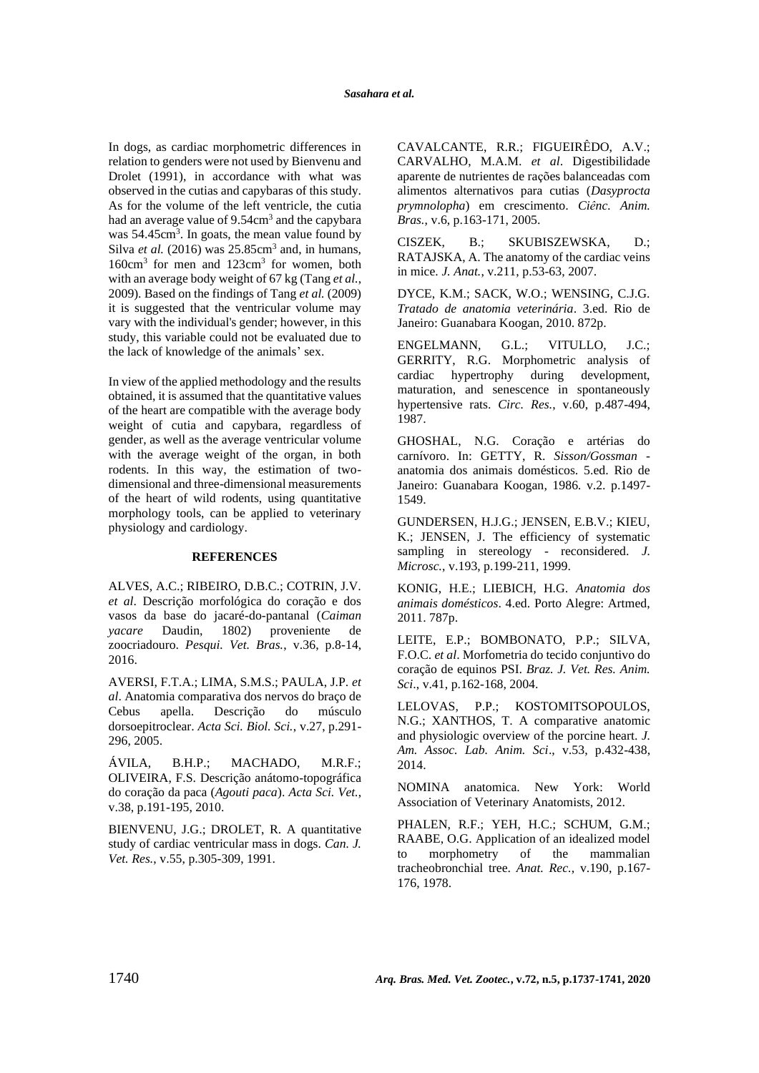In dogs, as cardiac morphometric differences in relation to genders were not used by Bienvenu and Drolet (1991), in accordance with what was observed in the cutias and capybaras of this study. As for the volume of the left ventricle, the cutia had an average value of 9.54cm<sup>3</sup> and the capybara was 54.45cm<sup>3</sup>. In goats, the mean value found by Silva *et al.* (2016) was  $25.85 \text{cm}^3$  and, in humans, 160cm<sup>3</sup> for men and 123cm<sup>3</sup> for women, both with an average body weight of 67 kg (Tang *et al.*, 2009). Based on the findings of Tang *et al.* (2009) it is suggested that the ventricular volume may vary with the individual's gender; however, in this study, this variable could not be evaluated due to the lack of knowledge of the animals' sex.

In view of the applied methodology and the results obtained, it is assumed that the quantitative values of the heart are compatible with the average body weight of cutia and capybara, regardless of gender, as well as the average ventricular volume with the average weight of the organ, in both rodents. In this way, the estimation of twodimensional and three-dimensional measurements of the heart of wild rodents, using quantitative morphology tools, can be applied to veterinary physiology and cardiology.

### **REFERENCES**

ALVES, A.C.; RIBEIRO, D.B.C.; COTRIN, J.V. *et al*. Descrição morfológica do coração e dos vasos da base do jacaré-do-pantanal (*Caiman yacare* Daudin, 1802) proveniente de zoocriadouro. *Pesqui. Vet. Bras.*, v.36, p.8-14, 2016.

AVERSI, F.T.A.; LIMA, S.M.S.; PAULA, J.P. *et al*. Anatomia comparativa dos nervos do braço de Cebus apella. Descrição do músculo dorsoepitroclear. *Acta Sci. Biol. Sci.*, v.27, p.291- 296, 2005.

ÁVILA, B.H.P.; MACHADO, M.R.F.; OLIVEIRA, F.S. Descrição anátomo-topográfica do coração da paca (*Agouti paca*). *Acta Sci. Vet.*, v.38, p.191-195, 2010.

BIENVENU, J.G.; DROLET, R. A quantitative study of cardiac ventricular mass in dogs. *Can. J. Vet. Res.*, v.55, p.305-309, 1991.

CAVALCANTE, R.R.; FIGUEIRÊDO, A.V.; CARVALHO, M.A.M. *et al*. Digestibilidade aparente de nutrientes de rações balanceadas com alimentos alternativos para cutias (*Dasyprocta prymnolopha*) em crescimento. *Ciênc. Anim. Bras.*, v.6, p.163-171, 2005.

CISZEK, B.; SKUBISZEWSKA, D.; RATAJSKA, A. The anatomy of the cardiac veins in mice. *J. Anat.*, v.211, p.53-63, 2007.

DYCE, K.M.; SACK, W.O.; WENSING, C.J.G. *Tratado de anatomia veterinária*. 3.ed. Rio de Janeiro: Guanabara Koogan, 2010. 872p.

ENGELMANN, G.L.; VITULLO, J.C.; GERRITY, R.G. Morphometric analysis of cardiac hypertrophy during development, maturation, and senescence in spontaneously hypertensive rats. *Circ. Res.*, v.60, p.487-494, 1987.

GHOSHAL, N.G. Coração e artérias do carnívoro. In: GETTY, R. *Sisson/Gossman* anatomia dos animais domésticos. 5.ed. Rio de Janeiro: Guanabara Koogan*,* 1986*.* v.2. p.1497- 1549.

GUNDERSEN, H.J.G.; JENSEN, E.B.V.; KIEU, K.; JENSEN, J. The efficiency of systematic sampling in stereology - reconsidered. *J. Microsc.*, v.193, p.199-211, 1999.

KONIG, H.E.; LIEBICH, H.G. *Anatomia dos animais domésticos*. 4.ed. Porto Alegre: Artmed, 2011. 787p.

LEITE, E.P.; BOMBONATO, P.P.; SILVA, F.O.C. *et al*. Morfometria do tecido conjuntivo do coração de equinos PSI. *Braz. J. Vet. Res. Anim. Sci*., v.41, p.162-168, 2004.

LELOVAS, P.P.; KOSTOMITSOPOULOS, N.G.; XANTHOS, T. A comparative anatomic and physiologic overview of the porcine heart. *J. Am. Assoc. Lab. Anim. Sci*., v.53, p.432-438, 2014.

NOMINA anatomica. New York: World Association of Veterinary Anatomists, 2012.

PHALEN, R.F.; YEH, H.C.; SCHUM, G.M.; RAABE, O.G. Application of an idealized model to morphometry of the mammalian tracheobronchial tree. *Anat. Rec.*, v.190, p.167- 176, 1978.